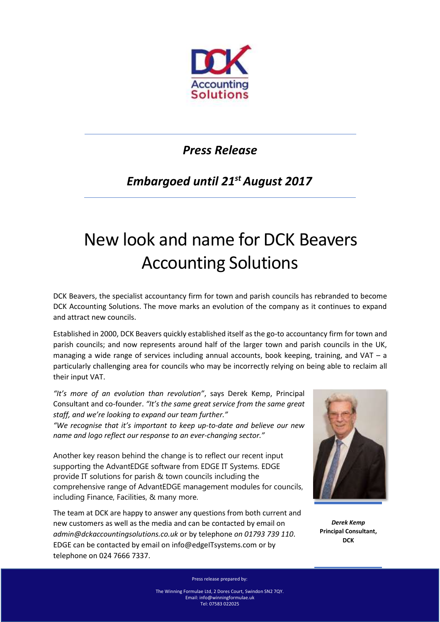

## *Press Release*

## *Embargoed until 21st August 2017*

## New look and name for DCK Beavers Accounting Solutions

DCK Beavers, the specialist accountancy firm for town and parish councils has rebranded to become DCK Accounting Solutions. The move marks an evolution of the company as it continues to expand and attract new councils.

Established in 2000, DCK Beavers quickly established itself as the go-to accountancy firm for town and parish councils; and now represents around half of the larger town and parish councils in the UK, managing a wide range of services including annual accounts, book keeping, training, and VAT  $-$  a particularly challenging area for councils who may be incorrectly relying on being able to reclaim all their input VAT.

*"It's more of an evolution than revolution"*, says Derek Kemp, Principal Consultant and co-founder. *"It's the same great service from the same great staff, and we're looking to expand our team further."*

*"We recognise that it's important to keep up-to-date and believe our new name and logo reflect our response to an ever-changing sector."*

Another key reason behind the change is to reflect our recent input supporting the AdvantEDGE software from EDGE IT Systems. EDGE provide IT solutions for parish & town councils including the comprehensive range of AdvantEDGE management modules for councils, including Finance, Facilities, & many more.

The team at DCK are happy to answer any questions from both current and new customers as well as the media and can be contacted by email on *[admin@dckaccountingsolutions.co.uk](mailto:admin@dckaccountingsolutions.co.uk)* or by telephone *on 01793 739 110*. EDGE can be contacted by email on info@edgeITsystems.com or by telephone on 024 7666 7337.



*Derek Kemp*  **Principal Consultant, DCK**

Press release prepared by:

The Winning Formulae Ltd, 2 Dores Court, Swindon SN2 7QY. Email[: info@winningformulae.uk](mailto:info@winningformulae.uk) Tel: 07583 022025